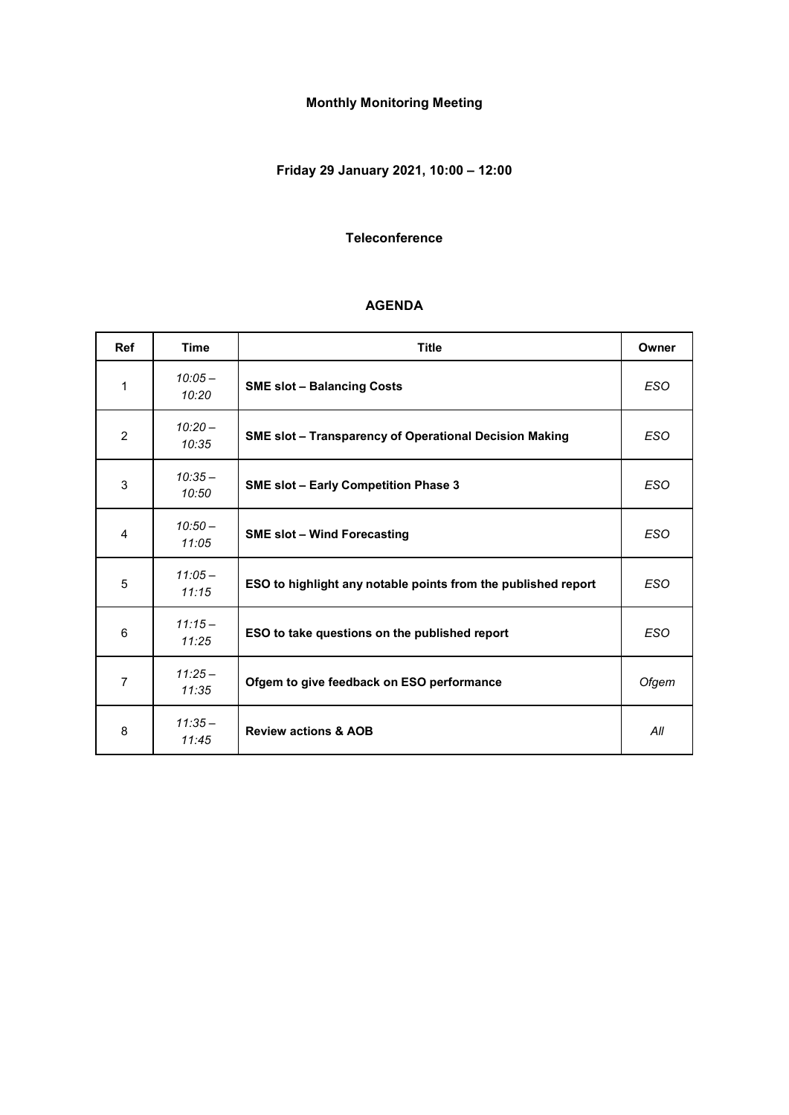# **Monthly Monitoring Meeting**

# **Friday 29 January 2021, 10:00 – 12:00**

#### **Teleconference**

#### **AGENDA**

| <b>Ref</b>     | <b>Time</b>        | <b>Title</b>                                                  | Owner      |
|----------------|--------------------|---------------------------------------------------------------|------------|
| 1              | $10:05 -$<br>10:20 | <b>SME slot - Balancing Costs</b>                             | <b>ESO</b> |
| $\overline{2}$ | $10:20 -$<br>10:35 | SME slot - Transparency of Operational Decision Making        | <b>ESO</b> |
| 3              | $10:35-$<br>10:50  | <b>SME slot - Early Competition Phase 3</b>                   | <b>ESO</b> |
| $\overline{4}$ | $10:50-$<br>11:05  | <b>SME slot - Wind Forecasting</b>                            | <b>ESO</b> |
| 5              | $11:05-$<br>11:15  | ESO to highlight any notable points from the published report | <b>ESO</b> |
| 6              | $11:15-$<br>11:25  | ESO to take questions on the published report                 | <b>ESO</b> |
| $\overline{7}$ | $11:25-$<br>11:35  | Ofgem to give feedback on ESO performance                     | Ofgem      |
| 8              | $11:35-$<br>11:45  | <b>Review actions &amp; AOB</b>                               | All        |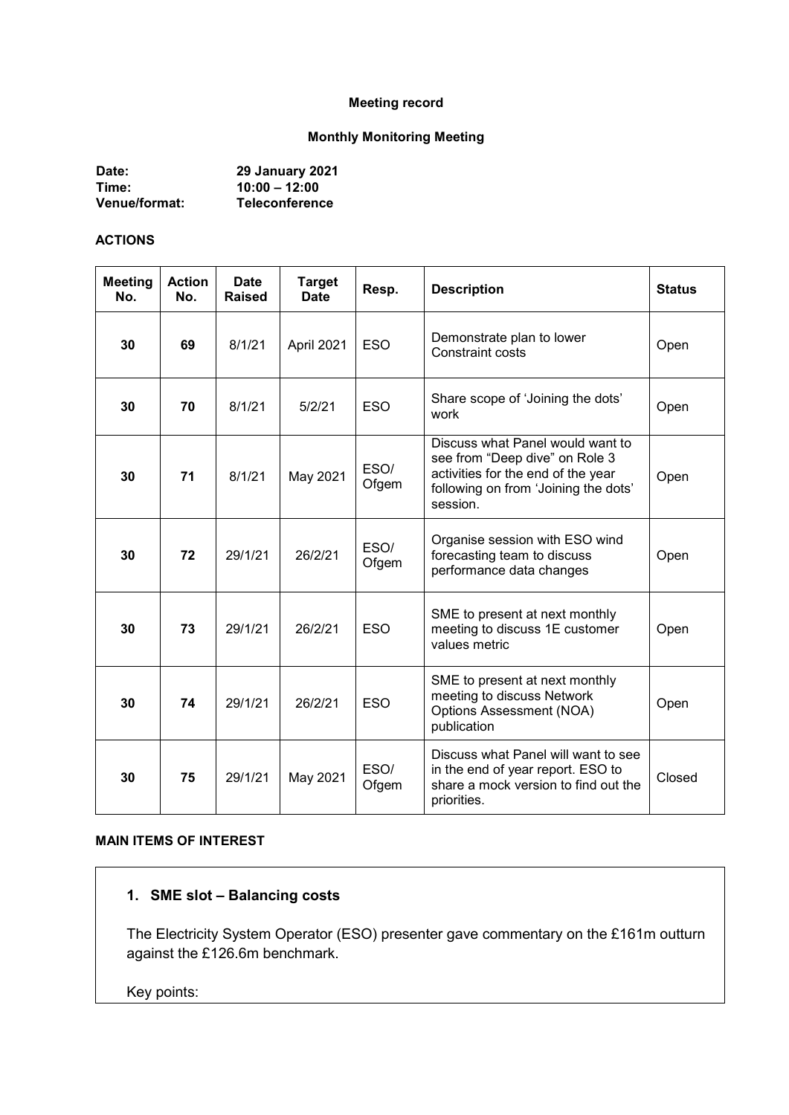#### **Meeting record**

#### **Monthly Monitoring Meeting**

| Date:         | <b>29 January 2021</b> |
|---------------|------------------------|
| Time:         | $10:00 - 12:00$        |
| Venue/format: | <b>Teleconference</b>  |

#### **ACTIONS**

| <b>Meeting</b><br>No. | <b>Action</b><br>No. | <b>Date</b><br>Raised | <b>Target</b><br><b>Date</b> | Resp.         | <b>Description</b>                                                                                                                                           | <b>Status</b> |
|-----------------------|----------------------|-----------------------|------------------------------|---------------|--------------------------------------------------------------------------------------------------------------------------------------------------------------|---------------|
| 30                    | 69                   | 8/1/21                | April 2021                   | <b>ESO</b>    | Demonstrate plan to lower<br><b>Constraint costs</b>                                                                                                         | Open          |
| 30                    | 70                   | 8/1/21                | 5/2/21                       | <b>ESO</b>    | Share scope of 'Joining the dots'<br>work                                                                                                                    | Open          |
| 30                    | 71                   | 8/1/21                | May 2021                     | ESO/<br>Ofgem | Discuss what Panel would want to<br>see from "Deep dive" on Role 3<br>activities for the end of the year<br>following on from 'Joining the dots'<br>session. | Open          |
| 30                    | 72                   | 29/1/21               | 26/2/21                      | ESO/<br>Ofgem | Organise session with ESO wind<br>forecasting team to discuss<br>performance data changes                                                                    | Open          |
| 30                    | 73                   | 29/1/21               | 26/2/21                      | <b>ESO</b>    | SME to present at next monthly<br>meeting to discuss 1E customer<br>values metric                                                                            | Open          |
| 30                    | 74                   | 29/1/21               | 26/2/21                      | <b>ESO</b>    | SME to present at next monthly<br>meeting to discuss Network<br><b>Options Assessment (NOA)</b><br>publication                                               | Open          |
| 30                    | 75                   | 29/1/21               | May 2021                     | ESO/<br>Ofgem | Discuss what Panel will want to see<br>in the end of year report. ESO to<br>share a mock version to find out the<br>priorities.                              | Closed        |

#### **MAIN ITEMS OF INTEREST**

# **1. SME slot – Balancing costs**

The Electricity System Operator (ESO) presenter gave commentary on the £161m outturn against the £126.6m benchmark.

Key points: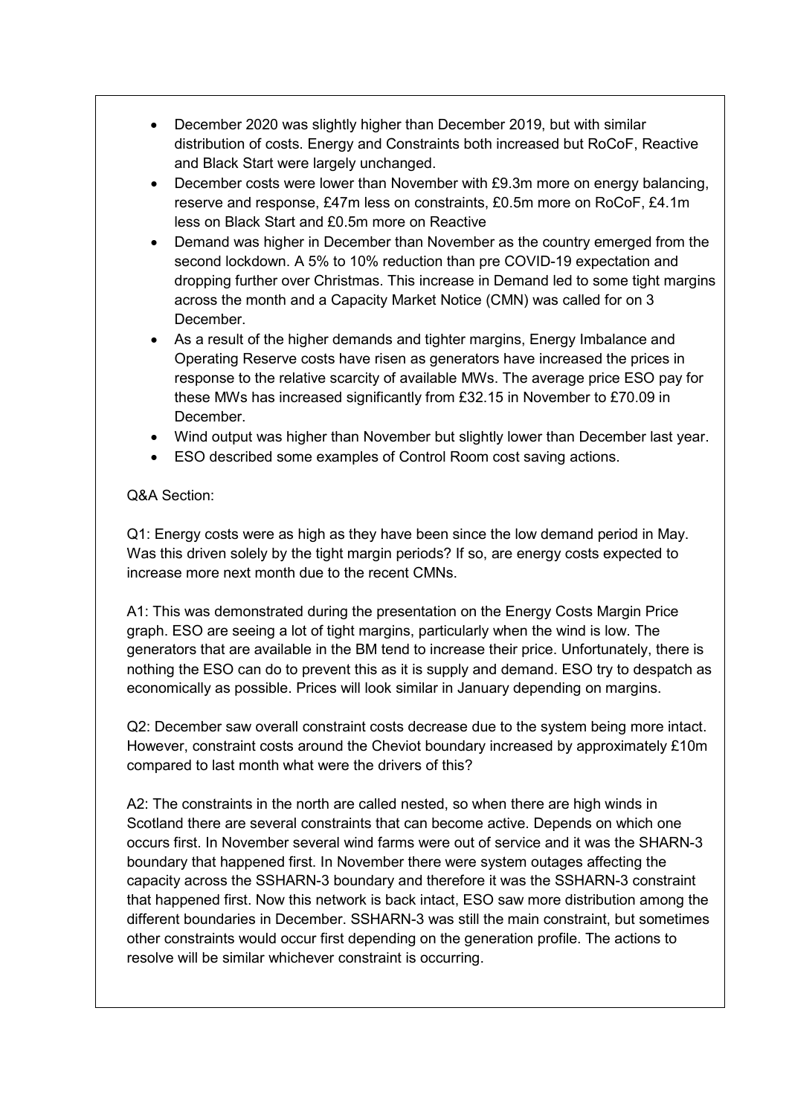- December 2020 was slightly higher than December 2019, but with similar distribution of costs. Energy and Constraints both increased but RoCoF, Reactive and Black Start were largely unchanged.
- December costs were lower than November with £9.3m more on energy balancing, reserve and response, £47m less on constraints, £0.5m more on RoCoF, £4.1m less on Black Start and £0.5m more on Reactive
- Demand was higher in December than November as the country emerged from the second lockdown. A 5% to 10% reduction than pre COVID-19 expectation and dropping further over Christmas. This increase in Demand led to some tight margins across the month and a Capacity Market Notice (CMN) was called for on 3 December.
- As a result of the higher demands and tighter margins, Energy Imbalance and Operating Reserve costs have risen as generators have increased the prices in response to the relative scarcity of available MWs. The average price ESO pay for these MWs has increased significantly from £32.15 in November to £70.09 in **December**
- Wind output was higher than November but slightly lower than December last year.
- ESO described some examples of Control Room cost saving actions.

### Q&A Section:

Q1: Energy costs were as high as they have been since the low demand period in May. Was this driven solely by the tight margin periods? If so, are energy costs expected to increase more next month due to the recent CMNs.

A1: This was demonstrated during the presentation on the Energy Costs Margin Price graph. ESO are seeing a lot of tight margins, particularly when the wind is low. The generators that are available in the BM tend to increase their price. Unfortunately, there is nothing the ESO can do to prevent this as it is supply and demand. ESO try to despatch as economically as possible. Prices will look similar in January depending on margins.

Q2: December saw overall constraint costs decrease due to the system being more intact. However, constraint costs around the Cheviot boundary increased by approximately £10m compared to last month what were the drivers of this?

A2: The constraints in the north are called nested, so when there are high winds in Scotland there are several constraints that can become active. Depends on which one occurs first. In November several wind farms were out of service and it was the SHARN-3 boundary that happened first. In November there were system outages affecting the capacity across the SSHARN-3 boundary and therefore it was the SSHARN-3 constraint that happened first. Now this network is back intact, ESO saw more distribution among the different boundaries in December. SSHARN-3 was still the main constraint, but sometimes other constraints would occur first depending on the generation profile. The actions to resolve will be similar whichever constraint is occurring.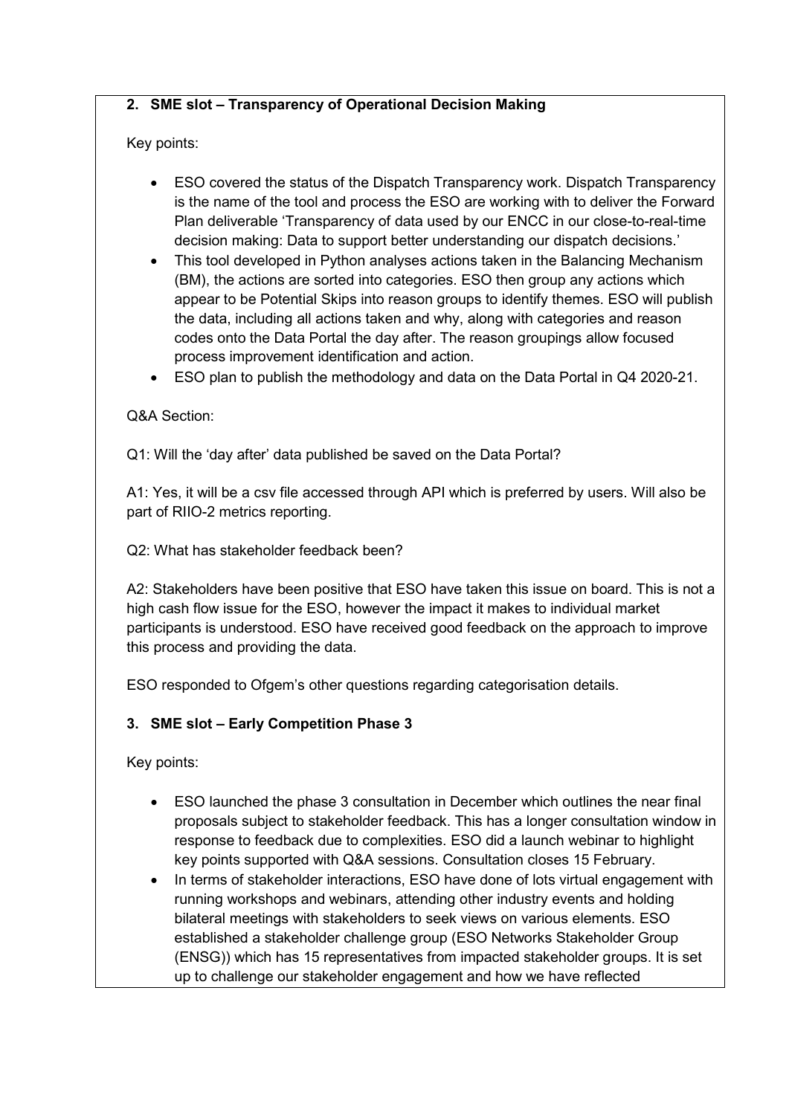## **2. SME slot – Transparency of Operational Decision Making**

# Key points:

- ESO covered the status of the Dispatch Transparency work. Dispatch Transparency is the name of the tool and process the ESO are working with to deliver the Forward Plan deliverable 'Transparency of data used by our ENCC in our close-to-real-time decision making: Data to support better understanding our dispatch decisions.'
- This tool developed in Python analyses actions taken in the Balancing Mechanism (BM), the actions are sorted into categories. ESO then group any actions which appear to be Potential Skips into reason groups to identify themes. ESO will publish the data, including all actions taken and why, along with categories and reason codes onto the Data Portal the day after. The reason groupings allow focused process improvement identification and action.
- ESO plan to publish the methodology and data on the Data Portal in Q4 2020-21.

# Q&A Section:

Q1: Will the 'day after' data published be saved on the Data Portal?

A1: Yes, it will be a csv file accessed through API which is preferred by users. Will also be part of RIIO-2 metrics reporting.

Q2: What has stakeholder feedback been?

A2: Stakeholders have been positive that ESO have taken this issue on board. This is not a high cash flow issue for the ESO, however the impact it makes to individual market participants is understood. ESO have received good feedback on the approach to improve this process and providing the data.

ESO responded to Ofgem's other questions regarding categorisation details.

# **3. SME slot – Early Competition Phase 3**

Key points:

- ESO launched the phase 3 consultation in December which outlines the near final proposals subject to stakeholder feedback. This has a longer consultation window in response to feedback due to complexities. ESO did a launch webinar to highlight key points supported with Q&A sessions. Consultation closes 15 February.
- In terms of stakeholder interactions, ESO have done of lots virtual engagement with running workshops and webinars, attending other industry events and holding bilateral meetings with stakeholders to seek views on various elements. ESO established a stakeholder challenge group (ESO Networks Stakeholder Group (ENSG)) which has 15 representatives from impacted stakeholder groups. It is set up to challenge our stakeholder engagement and how we have reflected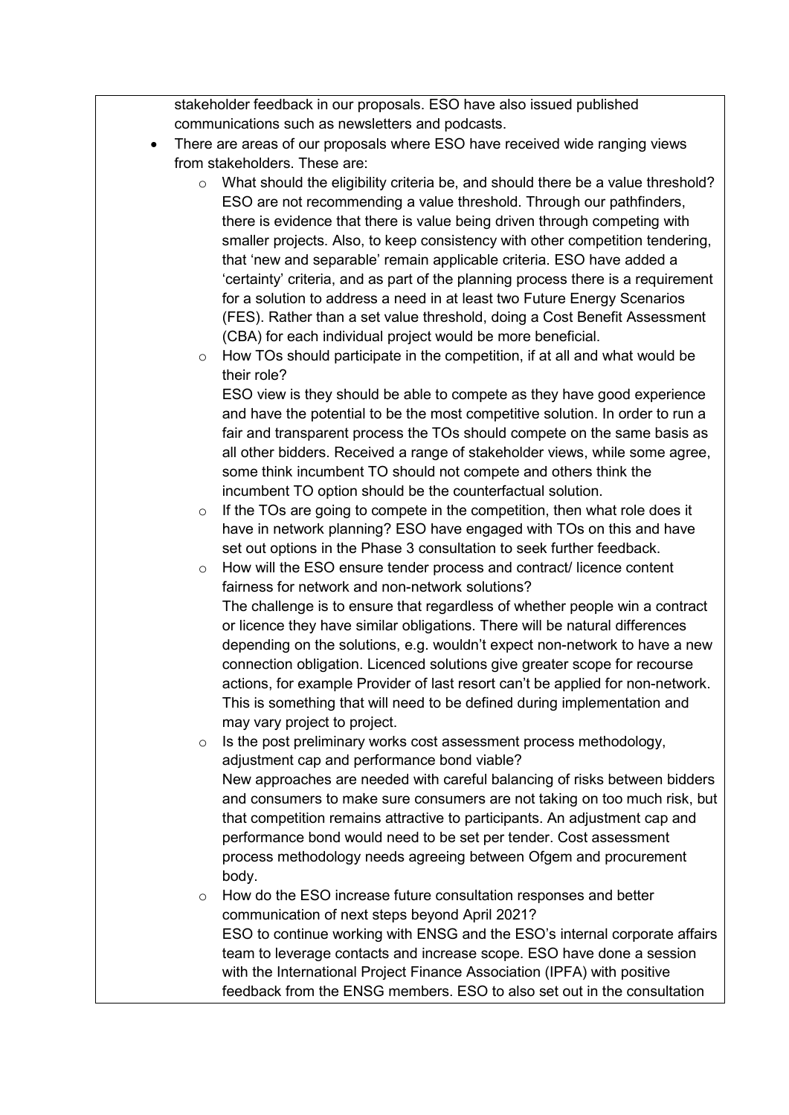stakeholder feedback in our proposals. ESO have also issued published communications such as newsletters and podcasts.

- There are areas of our proposals where ESO have received wide ranging views from stakeholders. These are:
	- $\circ$  What should the eligibility criteria be, and should there be a value threshold? ESO are not recommending a value threshold. Through our pathfinders, there is evidence that there is value being driven through competing with smaller projects. Also, to keep consistency with other competition tendering, that 'new and separable' remain applicable criteria. ESO have added a 'certainty' criteria, and as part of the planning process there is a requirement for a solution to address a need in at least two Future Energy Scenarios (FES). Rather than a set value threshold, doing a Cost Benefit Assessment (CBA) for each individual project would be more beneficial.
	- o How TOs should participate in the competition, if at all and what would be their role?

ESO view is they should be able to compete as they have good experience and have the potential to be the most competitive solution. In order to run a fair and transparent process the TOs should compete on the same basis as all other bidders. Received a range of stakeholder views, while some agree, some think incumbent TO should not compete and others think the incumbent TO option should be the counterfactual solution.

- $\circ$  If the TOs are going to compete in the competition, then what role does it have in network planning? ESO have engaged with TOs on this and have set out options in the Phase 3 consultation to seek further feedback.
- o How will the ESO ensure tender process and contract/ licence content fairness for network and non-network solutions? The challenge is to ensure that regardless of whether people win a contract or licence they have similar obligations. There will be natural differences depending on the solutions, e.g. wouldn't expect non-network to have a new connection obligation. Licenced solutions give greater scope for recourse actions, for example Provider of last resort can't be applied for non-network. This is something that will need to be defined during implementation and may vary project to project.

o Is the post preliminary works cost assessment process methodology, adjustment cap and performance bond viable? New approaches are needed with careful balancing of risks between bidders and consumers to make sure consumers are not taking on too much risk, but that competition remains attractive to participants. An adjustment cap and performance bond would need to be set per tender. Cost assessment process methodology needs agreeing between Ofgem and procurement body.

o How do the ESO increase future consultation responses and better communication of next steps beyond April 2021? ESO to continue working with ENSG and the ESO's internal corporate affairs team to leverage contacts and increase scope. ESO have done a session with the International Project Finance Association (IPFA) with positive feedback from the ENSG members. ESO to also set out in the consultation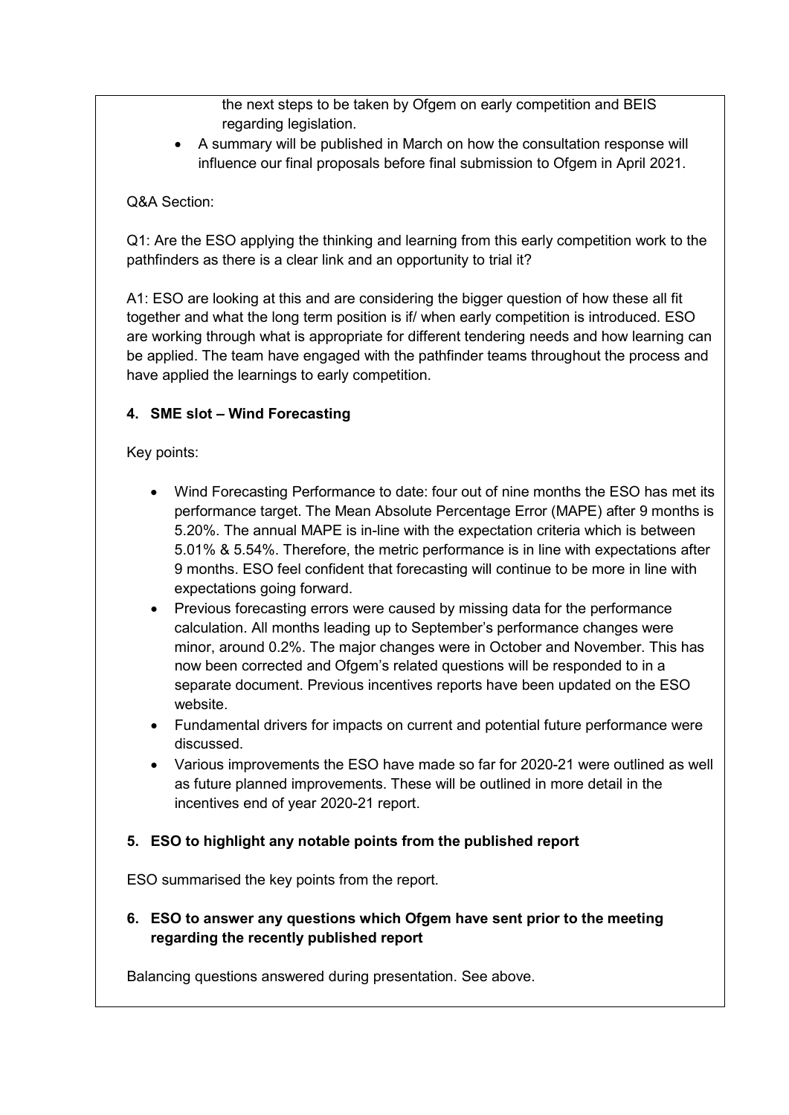the next steps to be taken by Ofgem on early competition and BEIS regarding legislation.

• A summary will be published in March on how the consultation response will influence our final proposals before final submission to Ofgem in April 2021.

## Q&A Section:

Q1: Are the ESO applying the thinking and learning from this early competition work to the pathfinders as there is a clear link and an opportunity to trial it?

A1: ESO are looking at this and are considering the bigger question of how these all fit together and what the long term position is if/ when early competition is introduced. ESO are working through what is appropriate for different tendering needs and how learning can be applied. The team have engaged with the pathfinder teams throughout the process and have applied the learnings to early competition.

# **4. SME slot – Wind Forecasting**

Key points:

- Wind Forecasting Performance to date: four out of nine months the ESO has met its performance target. The Mean Absolute Percentage Error (MAPE) after 9 months is 5.20%. The annual MAPE is in-line with the expectation criteria which is between 5.01% & 5.54%. Therefore, the metric performance is in line with expectations after 9 months. ESO feel confident that forecasting will continue to be more in line with expectations going forward.
- Previous forecasting errors were caused by missing data for the performance calculation. All months leading up to September's performance changes were minor, around 0.2%. The major changes were in October and November. This has now been corrected and Ofgem's related questions will be responded to in a separate document. Previous incentives reports have been updated on the ESO website.
- Fundamental drivers for impacts on current and potential future performance were discussed.
- Various improvements the ESO have made so far for 2020-21 were outlined as well as future planned improvements. These will be outlined in more detail in the incentives end of year 2020-21 report.

### **5. ESO to highlight any notable points from the published report**

ESO summarised the key points from the report.

# **6. ESO to answer any questions which Ofgem have sent prior to the meeting regarding the recently published report**

Balancing questions answered during presentation. See above.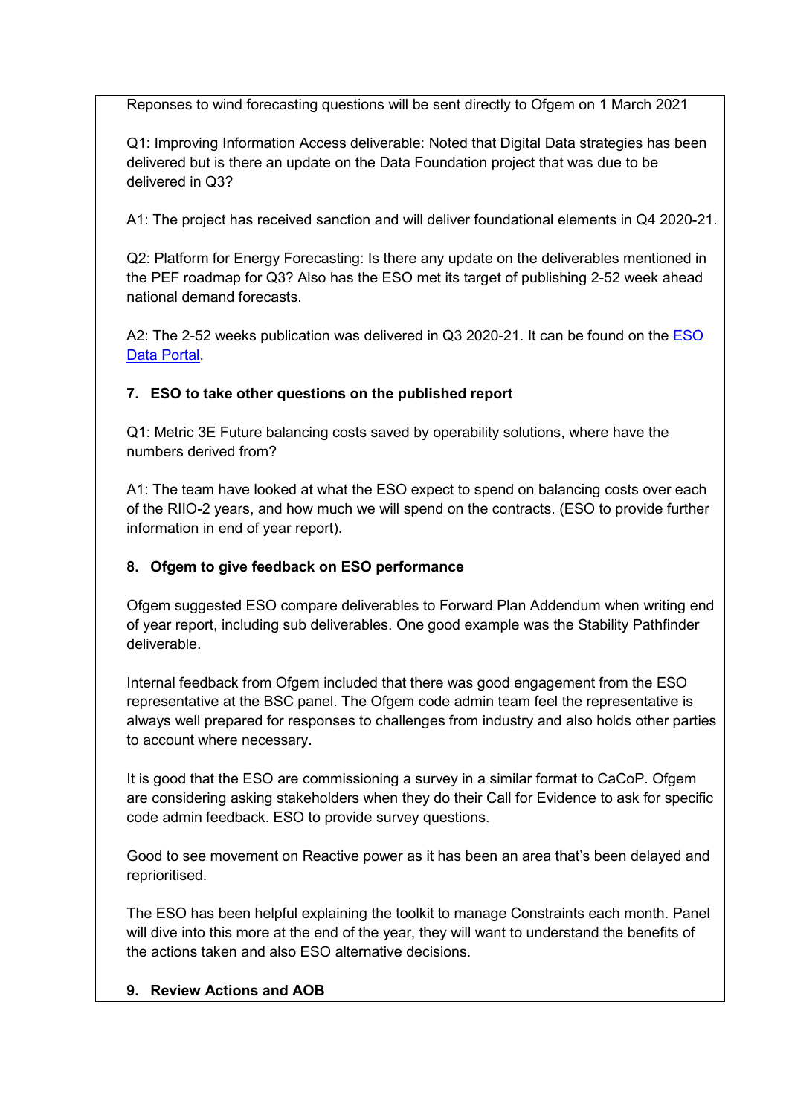Reponses to wind forecasting questions will be sent directly to Ofgem on 1 March 2021

Q1: Improving Information Access deliverable: Noted that Digital Data strategies has been delivered but is there an update on the Data Foundation project that was due to be delivered in Q3?

A1: The project has received sanction and will deliver foundational elements in Q4 2020-21.

Q2: Platform for Energy Forecasting: Is there any update on the deliverables mentioned in the PEF roadmap for Q3? Also has the ESO met its target of publishing 2-52 week ahead national demand forecasts.

A2: The 2-52 weeks publication was delivered in Q3 2020-21. It can be found on the ESO [Data Portal.](https://data.nationalgrideso.com/data-groups/demand)

# **7. ESO to take other questions on the published report**

Q1: Metric 3E Future balancing costs saved by operability solutions, where have the numbers derived from?

A1: The team have looked at what the ESO expect to spend on balancing costs over each of the RIIO-2 years, and how much we will spend on the contracts. (ESO to provide further information in end of year report).

# **8. Ofgem to give feedback on ESO performance**

Ofgem suggested ESO compare deliverables to Forward Plan Addendum when writing end of year report, including sub deliverables. One good example was the Stability Pathfinder deliverable.

Internal feedback from Ofgem included that there was good engagement from the ESO representative at the BSC panel. The Ofgem code admin team feel the representative is always well prepared for responses to challenges from industry and also holds other parties to account where necessary.

It is good that the ESO are commissioning a survey in a similar format to CaCoP. Ofgem are considering asking stakeholders when they do their Call for Evidence to ask for specific code admin feedback. ESO to provide survey questions.

Good to see movement on Reactive power as it has been an area that's been delayed and reprioritised.

The ESO has been helpful explaining the toolkit to manage Constraints each month. Panel will dive into this more at the end of the year, they will want to understand the benefits of the actions taken and also ESO alternative decisions.

# **9. Review Actions and AOB**